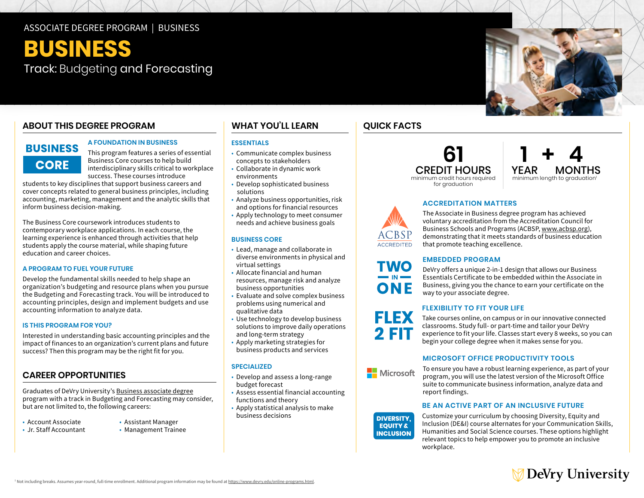#### ASSOCIATE DEGREE PROGRAM | BUSINESS

# **BUSINESS**  Track: Budgeting and Forecasting

#### **ABOUT THIS DEGREE PROGRAM**

## **BUSINESS CORE**

#### **A FOUNDATION IN BUSINESS**

This program features a series of essential Business Core courses to help build interdisciplinary skills critical to workplace success. These courses introduce

students to key disciplines that support business careers and cover concepts related to general business principles, including accounting, marketing, management and the analytic skills that inform business decision-making.

The Business Core coursework introduces students to contemporary workplace applications. In each course, the learning experience is enhanced through activities that help students apply the course material, while shaping future education and career choices.

#### **A PROGRAM TO FUEL YOUR FUTURE**

Develop the fundamental skills needed to help shape an organization's budgeting and resource plans when you pursue the Budgeting and Forecasting track. You will be introduced to accounting principles, design and implement budgets and use accounting information to analyze data.

#### **IS THIS PROGRAM FOR YOU?**

Interested in understanding basic accounting principles and the impact of finances to an organization's current plans and future success? Then this program may be the right fit for you.

#### **CAREER OPPORTUNITIES**

Graduates of DeVry University's [Business associate degree](https://www.devry.edu/online-programs/associate-degrees/business.html)  program with a track in Budgeting and Forecasting may consider, but are not limited to, the following careers:

- Account Associate
- . Jr. Staff Accountant
- Assistant Manager

#### • Management Trainee

#### **WHAT YOU'LL LEARN**

#### **ESSENTIALS**

- • Communicate complex business concepts to stakeholders
- • Collaborate in dynamic work environments
- Develop sophisticated business solutions
- • Analyze business opportunities, risk and options for financial resources
- • Apply technology to meet consumer needs and achieve business goals

#### **BUSINESS CORE**

- • Lead, manage and collaborate in virtual settings diverse environments in physical and
- virtual settings Allocate financial and human business opportunities resources, manage risk and analyze
- business opportunities Evaluate and solve complex business problems using numerical and qualitative data
- • Use technology to develop business solutions to improve daily operations and long-term strategy
- • Apply marketing strategies for business products and services

#### **SPECIALIZED**

- • Develop and assess a long-range budget forecast
- • Assess essential financial accounting functions and theory
- • Apply statistical analysis to make business decisions

# **QUICK FACTS**

# for graduation



#### **ACCREDITATION MATTERS**



**TWO** 

ONE

**FLEX** 

The Associate in Business degree program has achieved voluntary accreditation from the Accreditation Council for Business Schools and Programs (ACBSP, [www.acbsp.org](http://www.acbsp.org)), demonstrating that it meets standards of business education that promote teaching excellence.

#### **EMBEDDED PROGRAM**

DeVry offers a unique 2-in-1 design that allows our Business Essentials Certificate to be embedded within the Associate in Business, giving you the chance to earn your certificate on the way to your associate degree.

#### **FLEXIBILITY TO FIT YOUR LIFE**

Take courses online, on campus or in our innovative connected classrooms. Study full- or part-time and tailor your DeVry experience to fit your life. Classes start every 8 weeks, so you can begin your college degree when it makes sense for you.

#### **MICROSOFT OFFICE PRODUCTIVITY TOOLS**



**DIVERSITY. EQUITY & INCLUSION** 

To ensure you have a robust learning experience, as part of your program, you will use the latest version of the Microsoft Office suite to communicate business information, analyze data and report findings.

#### **BE AN ACTIVE PART OF AN INCLUSIVE FUTURE**

Customize your curriculum by choosing Diversity, Equity and Inclusion (DE&I) course alternates for your Communication Skills, Humanities and Social Science courses. These options highlight relevant topics to help empower you to promote an inclusive workplace.